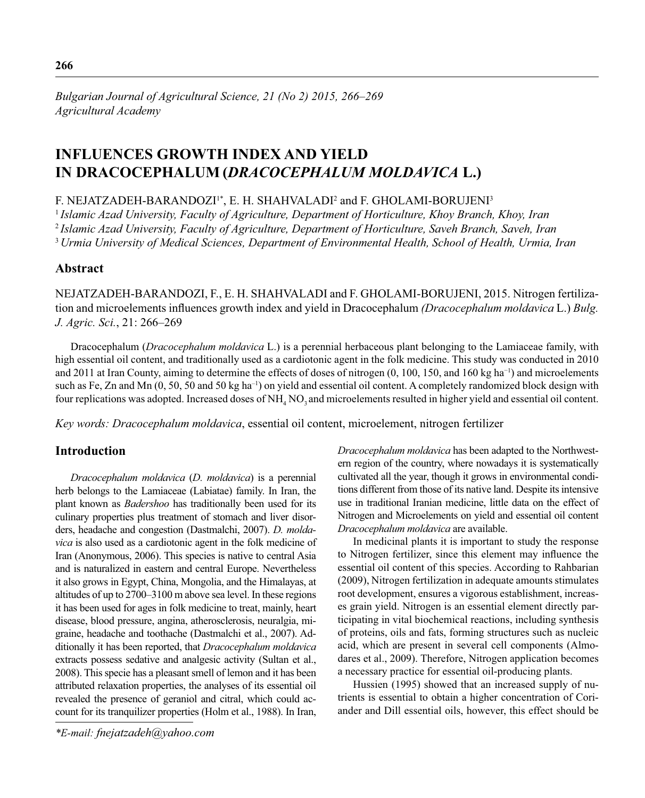# **INFLUENCES GROWTH INDEX AND YIELD IN DRACOCEPHALUM (***DRACOCEPHALUM MOLDAVICA* **L.)**

F. NEJATZADEH-BARANDOZI<sup>1\*</sup>, E. H. SHAHVALADI<sup>2</sup> and F. GHOLAMI-BORUJENI<sup>3</sup>

<sup>1</sup>*Islamic Azad University, Faculty of Agriculture, Department of Horticulture, Khoy Branch, Khoy, Iran* <sup>2</sup>*Islamic Azad University, Faculty of Agriculture, Department of Horticulture, Saveh Branch, Saveh, Iran* <sup>3</sup> *Urmia University of Medical Sciences, Department of Environmental Health, School of Health, Urmia, Iran*

## **Abstract**

NEJATZADEH-BARANDOZI, F., E. H. SHAHVALADI and F. GHOLAMI-BORUJENI, 2015. Nitrogen fertilization and microelements influences growth index and yield in Dracocephalum *(Dracocephalum moldavica L.) Bulg. J. Agric. Sci.*, 21: 266–269

Dracocephalum (*Dracocephalum moldavica* L.) is a perennial herbaceous plant belonging to the Lamiaceae family, with high essential oil content, and traditionally used as a cardiotonic agent in the folk medicine. This study was conducted in 2010 and 2011 at Iran County, aiming to determine the effects of doses of nitrogen (0, 100, 150, and 160 kg ha−1) and microelements such as Fe, Zn and Mn (0, 50, 50 and 50 kg ha<sup>-1</sup>) on yield and essential oil content. A completely randomized block design with four replications was adopted. Increased doses of  $NH<sub>4</sub> NO<sub>3</sub>$  and microelements resulted in higher yield and essential oil content.

*Key words: Dracocephalum moldavica*, essential oil content, microelement, nitrogen fertilizer

# **Introduction**

*Dracocephalum moldavica* (*D. moldavica*) is a perennial herb belongs to the Lamiaceae (Labiatae) family. In Iran, the plant known as *Badershoo* has traditionally been used for its culinary properties plus treatment of stomach and liver disorders, headache and congestion (Dastmalchi, 2007). *D. moldavica* is also used as a cardiotonic agent in the folk medicine of Iran (Anonymous, 2006). This species is native to central Asia and is naturalized in eastern and central Europe. Nevertheless it also grows in Egypt, China, Mongolia, and the Himalayas, at altitudes of up to 2700–3100 m above sea level. In these regions it has been used for ages in folk medicine to treat, mainly, heart disease, blood pressure, angina, atherosclerosis, neuralgia, migraine, headache and toothache (Dastmalchi et al., 2007). Additionally it has been reported, that *Dracocephalum moldavica* extracts possess sedative and analgesic activity (Sultan et al., 2008). This specie has a pleasant smell of lemon and it has been attributed relaxation properties, the analyses of its essential oil revealed the presence of geraniol and citral, which could account for its tranquilizer properties (Holm et al., 1988). In Iran,

*\*E-mail: fnejatzadeh@yahoo.com*

*Dracocephalum moldavica* has been adapted to the Northwestern region of the country, where nowadays it is systematically cultivated all the year, though it grows in environmental conditions different from those of its native land. Despite its intensive use in traditional Iranian medicine, little data on the effect of Nitrogen and Microelements on yield and essential oil content *Dracocephalum moldavica* are available.

In medicinal plants it is important to study the response to Nitrogen fertilizer, since this element may influence the essential oil content of this species. According to Rahbarian (2009), Nitrogen fertilization in adequate amounts stimulates root development, ensures a vigorous establishment, increases grain yield. Nitrogen is an essential element directly participating in vital biochemical reactions, including synthesis of proteins, oils and fats, forming structures such as nucleic acid, which are present in several cell components (Almodares et al., 2009). Therefore, Nitrogen application becomes a necessary practice for essential oil-producing plants.

Hussien (1995) showed that an increased supply of nutrients is essential to obtain a higher concentration of Coriander and Dill essential oils, however, this effect should be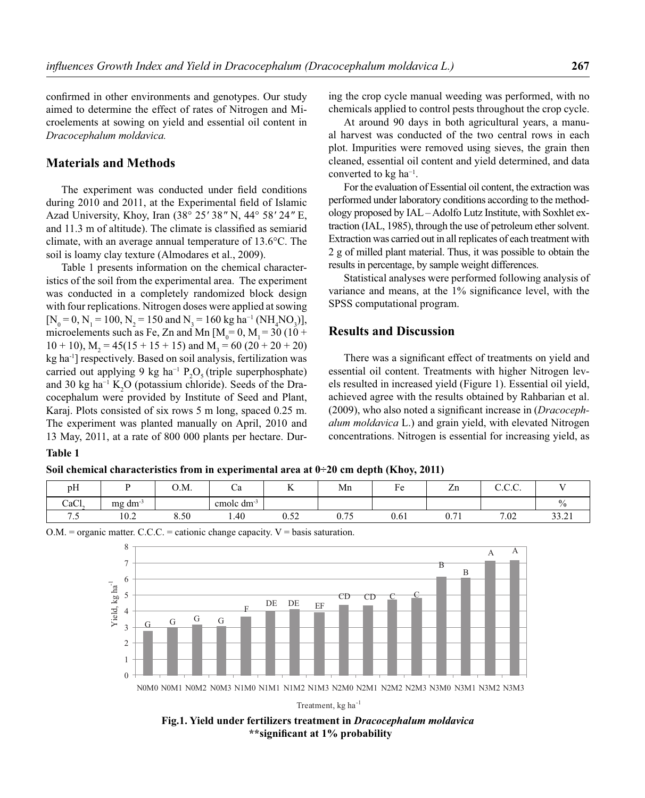confirmed in other environments and genotypes. Our study aimed to determine the effect of rates of Nitrogen and Microelements at sowing on yield and essential oil content in *Dracocephalum moldavica.*

### **Materials and Methods**

The experiment was conducted under field conditions during 2010 and 2011, at the Experimental field of Islamic Azad University, Khoy, Iran (38° 25*′* 38*″* N, 44° 58*′* 24*″* E, and 11.3 m of altitude). The climate is classified as semiarid climate, with an average annual temperature of 13.6°C. The soil is loamy clay texture (Almodares et al., 2009).

Table 1 presents information on the chemical characteristics of the soil from the experimental area. The experiment was conducted in a completely randomized block design with four replications. Nitrogen doses were applied at sowing  $[N_0 = 0, N_1 = 100, N_2 = 150 \text{ and } N_3 = 160 \text{ kg ha}^{-1} (\text{NH}_4\text{NO}_3)],$ microelements such as Fe, Zn and Mn  $[M_0=0, M_1=30 (10 +$  $10 + 10$ ,  $M_2 = 45(15 + 15 + 15)$  and  $M_3 = 60(20 + 20 + 20)$ kg ha-1] respectively. Based on soil analysis, fertilization was carried out applying 9 kg ha<sup>-1</sup>  $P_2O_5$  (triple superphosphate) and 30 kg ha<sup>-1</sup> K<sub>2</sub>O (potassium chloride). Seeds of the Dracocephalum were provided by Institute of Seed and Plant, Karaj. Plots consisted of six rows 5 m long, spaced 0.25 m. The experiment was planted manually on April, 2010 and 13 May, 2011, at a rate of 800 000 plants per hectare. During the crop cycle manual weeding was performed, with no chemicals applied to control pests throughout the crop cycle.

At around 90 days in both agricultural years, a manual harvest was conducted of the two central rows in each plot. Impurities were removed using sieves, the grain then cleaned, essential oil content and yield determined, and data converted to kg ha−1.

For the evaluation of Essential oil content, the extraction was performed under laboratory conditions according to the methodology proposed by IAL – Adolfo Lutz Institute, with Soxhlet extraction (IAL, 1985), through the use of petroleum ether solvent. Extraction was carried out in all replicates of each treatment with 2 g of milled plant material. Thus, it was possible to obtain the results in percentage, by sample weight differences.

Statistical analyses were performed following analysis of variance and means, at the  $1\%$  significance level, with the SPSS computational program.

#### **Results and Discussion**

There was a significant effect of treatments on yield and essential oil content. Treatments with higher Nitrogen levels resulted in increased yield (Figure 1). Essential oil yield, achieved agree with the results obtained by Rahbarian et al. (2009), who also noted a significant increase in (*Dracocephalum moldavica* L.) and grain yield, with elevated Nitrogen concentrations. Nitrogen is essential for increasing yield, as

### **Table 1**

#### **Soil chemical characteristics from in experimental area at 0÷20 cm depth (Khoy, 2011)**

| pH    |                 | 0.M. | ~a                     | $-$<br>$\overline{\mathbf{r}}$ | Mn                                     | Ē<br>ы. | $\overline{\phantom{a}}$<br>Zn | $\cap$ $\cap$<br>$\ddotsc\ddotsc}$ |                             |
|-------|-----------------|------|------------------------|--------------------------------|----------------------------------------|---------|--------------------------------|------------------------------------|-----------------------------|
| CaCl. | $mg \, dm^{-3}$ |      | cmole dm <sup>-3</sup> |                                |                                        |         |                                |                                    | 0.                          |
| ن ،   | 10.2            | 8.50 | 1.40                   | $\epsilon$<br>∪.J∠             | $-$<br>∪.7<br>$\overline{\phantom{a}}$ | 0.61    | $\sim$ $\sim$<br>∪.7           | 7.02                               | $\sim$<br>$\sim$<br>ہ ہے. ر |

 $O.M.$  = organic matter. C.C.C. = cationic change capacity.  $V =$  basis saturation.



Treatment, kg ha<sup>-1</sup>

**Fig.1. Yield under fertilizers treatment in** *Dracocephalum moldavica*  **\*\*signifi cant at 1% probability**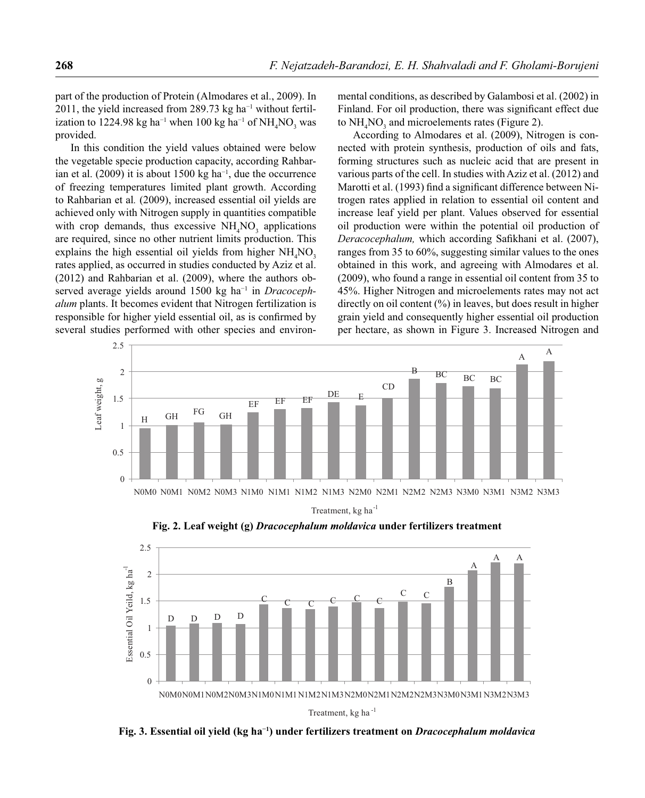part of the production of Protein (Almodares et al., 2009). In 2011, the yield increased from 289.73 kg ha<sup>-1</sup> without fertilization to 1224.98 kg ha<sup>-1</sup> when 100 kg ha<sup>-1</sup> of NH<sub>4</sub>NO<sub>3</sub> was provided.

In this condition the yield values obtained were below the vegetable specie production capacity, according Rahbarian et al. (2009) it is about 1500 kg ha−1, due the occurrence of freezing temperatures limited plant growth. According to Rahbarian et al*.* (2009), increased essential oil yields are achieved only with Nitrogen supply in quantities compatible with crop demands, thus excessive  $NH<sub>4</sub>NO<sub>3</sub>$  applications are required, since no other nutrient limits production. This explains the high essential oil yields from higher  $NH<sub>4</sub>NO<sub>3</sub>$ rates applied, as occurred in studies conducted by Aziz et al. (2012) and Rahbarian et al. (2009), where the authors observed average yields around 1500 kg ha−1 in *Dracocephalum* plants. It becomes evident that Nitrogen fertilization is responsible for higher yield essential oil, as is confirmed by several studies performed with other species and environmental conditions, as described by Galambosi et al. (2002) in Finland. For oil production, there was significant effect due to  $NH<sub>4</sub>NO<sub>3</sub>$  and microelements rates (Figure 2).

According to Almodares et al. (2009), Nitrogen is connected with protein synthesis, production of oils and fats, forming structures such as nucleic acid that are present in various parts of the cell. In studies with Aziz et al. (2012) and Marotti et al. (1993) find a significant difference between Nitrogen rates applied in relation to essential oil content and increase leaf yield per plant. Values observed for essential oil production were within the potential oil production of *Deracocephalum,* which according Safikhani et al. (2007), ranges from 35 to 60%, suggesting similar values to the ones obtained in this work, and agreeing with Almodares et al. (2009), who found a range in essential oil content from 35 to 45%. Higher Nitrogen and microelements rates may not act directly on oil content (%) in leaves, but does result in higher grain yield and consequently higher essential oil production per hectare, as shown in Figure 3. Increased Nitrogen and



Treatment, kg ha<sup>-1</sup>

**Fig. 2. Leaf weight (g)** *Dracocephalum moldavica* **under fertilizers treatment** 



**Fig. 3. Essential oil yield (kg ha−1) under fertilizers treatment on** *Dracocephalum moldavica*